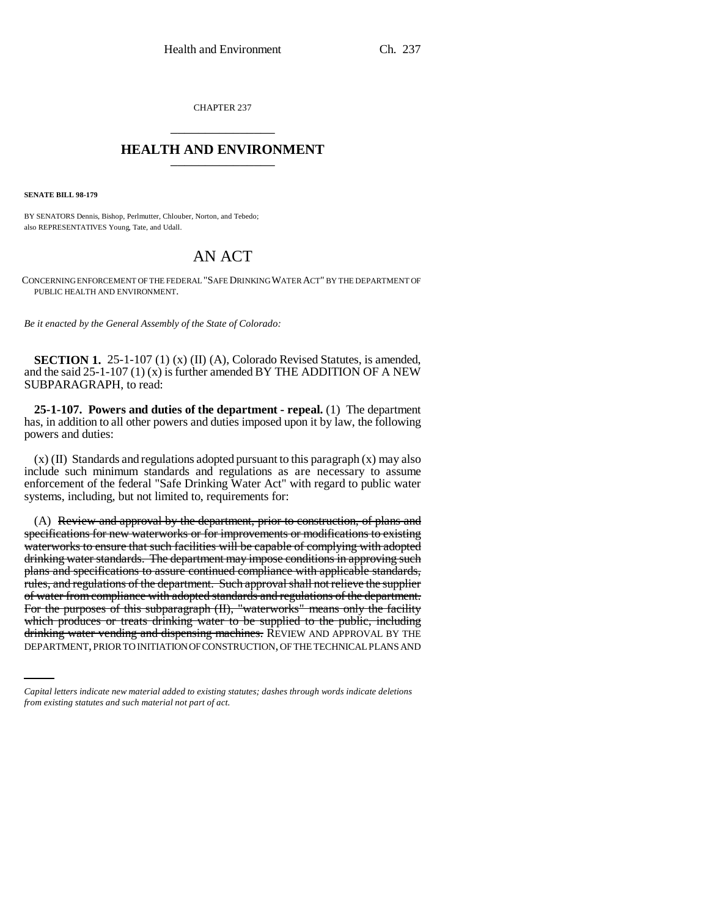CHAPTER 237 \_\_\_\_\_\_\_\_\_\_\_\_\_\_\_

## **HEALTH AND ENVIRONMENT** \_\_\_\_\_\_\_\_\_\_\_\_\_\_\_

**SENATE BILL 98-179**

BY SENATORS Dennis, Bishop, Perlmutter, Chlouber, Norton, and Tebedo; also REPRESENTATIVES Young, Tate, and Udall.

## AN ACT

CONCERNING ENFORCEMENT OF THE FEDERAL "SAFE DRINKING WATER ACT" BY THE DEPARTMENT OF PUBLIC HEALTH AND ENVIRONMENT.

*Be it enacted by the General Assembly of the State of Colorado:*

**SECTION 1.** 25-1-107 (1) (x) (II) (A), Colorado Revised Statutes, is amended, and the said  $25-1-107(1)(x)$  is further amended BY THE ADDITION OF A NEW SUBPARAGRAPH, to read:

**25-1-107. Powers and duties of the department - repeal.** (1) The department has, in addition to all other powers and duties imposed upon it by law, the following powers and duties:

 $(x)$  (II) Standards and regulations adopted pursuant to this paragraph  $(x)$  may also include such minimum standards and regulations as are necessary to assume enforcement of the federal "Safe Drinking Water Act" with regard to public water systems, including, but not limited to, requirements for:

which produces or treats drinking water to be supplied to the public, including (A) Review and approval by the department, prior to construction, of plans and specifications for new waterworks or for improvements or modifications to existing waterworks to ensure that such facilities will be capable of complying with adopted drinking water standards. The department may impose conditions in approving such plans and specifications to assure continued compliance with applicable standards, rules, and regulations of the department. Such approval shall not relieve the supplier of water from compliance with adopted standards and regulations of the department. For the purposes of this subparagraph (II), "waterworks" means only the facility drinking water vending and dispensing machines. REVIEW AND APPROVAL BY THE DEPARTMENT, PRIOR TO INITIATION OF CONSTRUCTION, OF THE TECHNICAL PLANS AND

*Capital letters indicate new material added to existing statutes; dashes through words indicate deletions from existing statutes and such material not part of act.*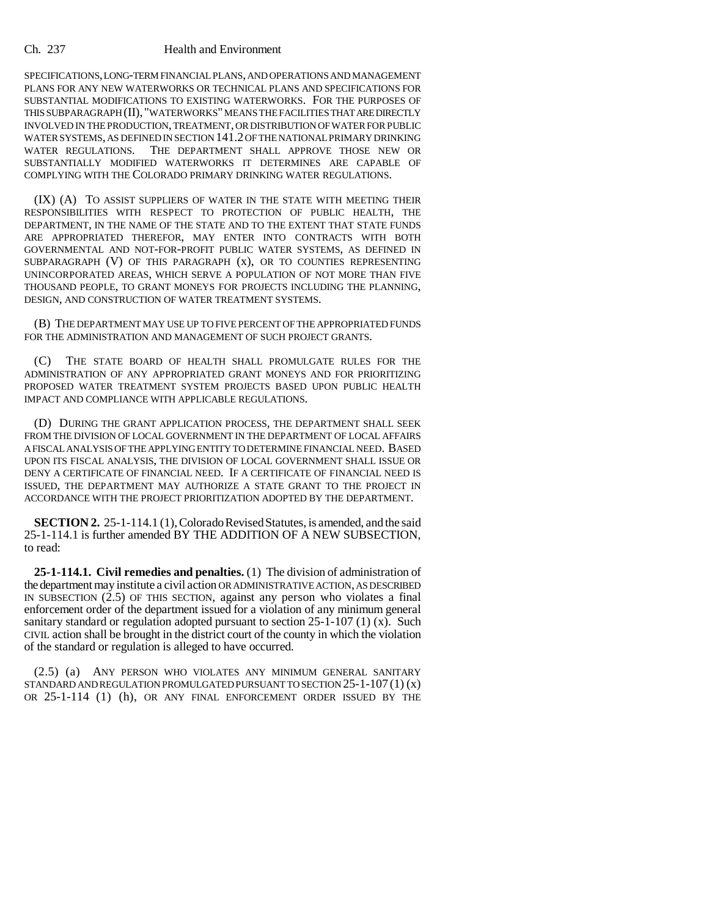## Ch. 237 Health and Environment

SPECIFICATIONS, LONG-TERM FINANCIAL PLANS, AND OPERATIONS AND MANAGEMENT PLANS FOR ANY NEW WATERWORKS OR TECHNICAL PLANS AND SPECIFICATIONS FOR SUBSTANTIAL MODIFICATIONS TO EXISTING WATERWORKS. FOR THE PURPOSES OF THIS SUBPARAGRAPH (II), "WATERWORKS" MEANS THE FACILITIES THAT ARE DIRECTLY INVOLVED IN THE PRODUCTION, TREATMENT, OR DISTRIBUTION OF WATER FOR PUBLIC WATER SYSTEMS, AS DEFINED IN SECTION 141.2 OF THE NATIONAL PRIMARY DRINKING WATER REGULATIONS. THE DEPARTMENT SHALL APPROVE THOSE NEW OR SUBSTANTIALLY MODIFIED WATERWORKS IT DETERMINES ARE CAPABLE OF COMPLYING WITH THE COLORADO PRIMARY DRINKING WATER REGULATIONS.

(IX) (A) TO ASSIST SUPPLIERS OF WATER IN THE STATE WITH MEETING THEIR RESPONSIBILITIES WITH RESPECT TO PROTECTION OF PUBLIC HEALTH, THE DEPARTMENT, IN THE NAME OF THE STATE AND TO THE EXTENT THAT STATE FUNDS ARE APPROPRIATED THEREFOR, MAY ENTER INTO CONTRACTS WITH BOTH GOVERNMENTAL AND NOT-FOR-PROFIT PUBLIC WATER SYSTEMS, AS DEFINED IN SUBPARAGRAPH (V) OF THIS PARAGRAPH (x), OR TO COUNTIES REPRESENTING UNINCORPORATED AREAS, WHICH SERVE A POPULATION OF NOT MORE THAN FIVE THOUSAND PEOPLE, TO GRANT MONEYS FOR PROJECTS INCLUDING THE PLANNING, DESIGN, AND CONSTRUCTION OF WATER TREATMENT SYSTEMS.

(B) THE DEPARTMENT MAY USE UP TO FIVE PERCENT OF THE APPROPRIATED FUNDS FOR THE ADMINISTRATION AND MANAGEMENT OF SUCH PROJECT GRANTS.

(C) THE STATE BOARD OF HEALTH SHALL PROMULGATE RULES FOR THE ADMINISTRATION OF ANY APPROPRIATED GRANT MONEYS AND FOR PRIORITIZING PROPOSED WATER TREATMENT SYSTEM PROJECTS BASED UPON PUBLIC HEALTH IMPACT AND COMPLIANCE WITH APPLICABLE REGULATIONS.

(D) DURING THE GRANT APPLICATION PROCESS, THE DEPARTMENT SHALL SEEK FROM THE DIVISION OF LOCAL GOVERNMENT IN THE DEPARTMENT OF LOCAL AFFAIRS A FISCAL ANALYSIS OF THE APPLYING ENTITY TO DETERMINE FINANCIAL NEED. BASED UPON ITS FISCAL ANALYSIS, THE DIVISION OF LOCAL GOVERNMENT SHALL ISSUE OR DENY A CERTIFICATE OF FINANCIAL NEED. IF A CERTIFICATE OF FINANCIAL NEED IS ISSUED, THE DEPARTMENT MAY AUTHORIZE A STATE GRANT TO THE PROJECT IN ACCORDANCE WITH THE PROJECT PRIORITIZATION ADOPTED BY THE DEPARTMENT.

**SECTION 2.** 25-1-114.1 (1), Colorado Revised Statutes, is amended, and the said 25-1-114.1 is further amended BY THE ADDITION OF A NEW SUBSECTION, to read:

**25-1-114.1. Civil remedies and penalties.** (1) The division of administration of the department may institute a civil action OR ADMINISTRATIVE ACTION, AS DESCRIBED IN SUBSECTION  $(2.5)$  OF THIS SECTION, against any person who violates a final enforcement order of the department issued for a violation of any minimum general sanitary standard or regulation adopted pursuant to section 25-1-107 (1) (x). Such CIVIL action shall be brought in the district court of the county in which the violation of the standard or regulation is alleged to have occurred.

(2.5) (a) ANY PERSON WHO VIOLATES ANY MINIMUM GENERAL SANITARY STANDARD AND REGULATION PROMULGATED PURSUANT TO SECTION  $25$ -1-107 (1) (x) OR 25-1-114 (1) (h), OR ANY FINAL ENFORCEMENT ORDER ISSUED BY THE